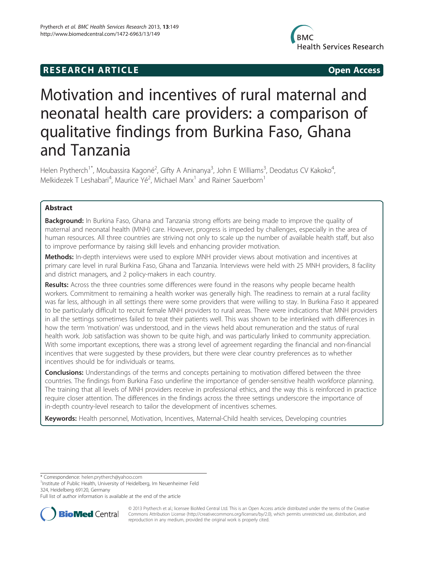# **RESEARCH ARTICLE CONSUMING A RESEARCH ARTICLE**



# Motivation and incentives of rural maternal and neonatal health care providers: a comparison of qualitative findings from Burkina Faso, Ghana and Tanzania

Helen Prytherch<sup>1\*</sup>, Moubassira Kagoné<sup>2</sup>, Gifty A Aninanya<sup>3</sup>, John E Williams<sup>3</sup>, Deodatus CV Kakoko<sup>4</sup> , Melkidezek T Leshabari<sup>4</sup>, Maurice Yé<sup>2</sup>, Michael Marx<sup>1</sup> and Rainer Sauerborn<sup>1</sup>

# Abstract

Background: In Burkina Faso, Ghana and Tanzania strong efforts are being made to improve the quality of maternal and neonatal health (MNH) care. However, progress is impeded by challenges, especially in the area of human resources. All three countries are striving not only to scale up the number of available health staff, but also to improve performance by raising skill levels and enhancing provider motivation.

Methods: In-depth interviews were used to explore MNH provider views about motivation and incentives at primary care level in rural Burkina Faso, Ghana and Tanzania. Interviews were held with 25 MNH providers, 8 facility and district managers, and 2 policy-makers in each country.

Results: Across the three countries some differences were found in the reasons why people became health workers. Commitment to remaining a health worker was generally high. The readiness to remain at a rural facility was far less, although in all settings there were some providers that were willing to stay. In Burkina Faso it appeared to be particularly difficult to recruit female MNH providers to rural areas. There were indications that MNH providers in all the settings sometimes failed to treat their patients well. This was shown to be interlinked with differences in how the term 'motivation' was understood, and in the views held about remuneration and the status of rural health work. Job satisfaction was shown to be quite high, and was particularly linked to community appreciation. With some important exceptions, there was a strong level of agreement regarding the financial and non-financial incentives that were suggested by these providers, but there were clear country preferences as to whether incentives should be for individuals or teams.

**Conclusions:** Understandings of the terms and concepts pertaining to motivation differed between the three countries. The findings from Burkina Faso underline the importance of gender-sensitive health workforce planning. The training that all levels of MNH providers receive in professional ethics, and the way this is reinforced in practice require closer attention. The differences in the findings across the three settings underscore the importance of in-depth country-level research to tailor the development of incentives schemes.

Keywords: Health personnel, Motivation, Incentives, Maternal-Child health services, Developing countries

\* Correspondence: [helen.prytherch@yahoo.com](mailto:helen.prytherch@yahoo.com) <sup>1</sup>

<sup>1</sup>Institute of Public Health, University of Heidelberg, Im Neuenheimer Feld 324, Heidelberg 69120, Germany

Full list of author information is available at the end of the article



© 2013 Prytherch et al.; licensee BioMed Central Ltd. This is an Open Access article distributed under the terms of the Creative Commons Attribution License [\(http://creativecommons.org/licenses/by/2.0\)](http://creativecommons.org/licenses/by/2.0), which permits unrestricted use, distribution, and reproduction in any medium, provided the original work is properly cited.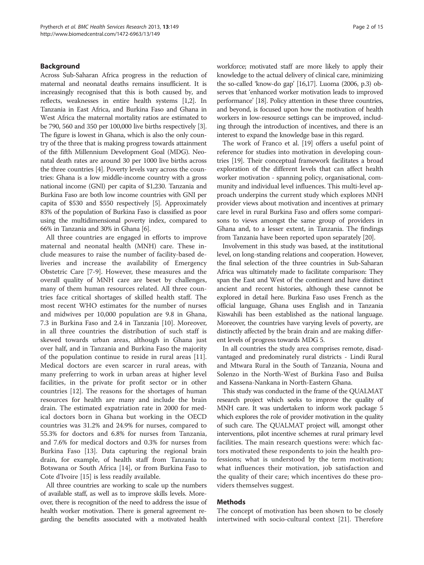#### Background

Across Sub-Saharan Africa progress in the reduction of maternal and neonatal deaths remains insufficient. It is increasingly recognised that this is both caused by, and reflects, weaknesses in entire health systems [\[1,2](#page-13-0)]. In Tanzania in East Africa, and Burkina Faso and Ghana in West Africa the maternal mortality ratios are estimated to be 790, 560 and 350 per 100,000 live births respectively [[3](#page-13-0)]. The figure is lowest in Ghana, which is also the only country of the three that is making progress towards attainment of the fifth Millennium Development Goal (MDG). Neonatal death rates are around 30 per 1000 live births across the three countries [\[4\]](#page-13-0). Poverty levels vary across the countries: Ghana is a low middle-income country with a gross national income (GNI) per capita of \$1,230. Tanzania and Burkina Faso are both low income countries with GNI per capita of \$530 and \$550 respectively [\[5\]](#page-13-0). Approximately 83% of the population of Burkina Faso is classified as poor using the multidimensional poverty index, compared to 66% in Tanzania and 30% in Ghana [\[6\]](#page-13-0).

All three countries are engaged in efforts to improve maternal and neonatal health (MNH) care. These include measures to raise the number of facility-based deliveries and increase the availability of Emergency Obstetric Care [\[7](#page-13-0)-[9\]](#page-14-0). However, these measures and the overall quality of MNH care are beset by challenges, many of them human resources related. All three countries face critical shortages of skilled health staff. The most recent WHO estimates for the number of nurses and midwives per 10,000 population are 9.8 in Ghana, 7.3 in Burkina Faso and 2.4 in Tanzania [\[10](#page-14-0)]. Moreover, in all three countries the distribution of such staff is skewed towards urban areas, although in Ghana just over half, and in Tanzania and Burkina Faso the majority of the population continue to reside in rural areas [\[11](#page-14-0)]. Medical doctors are even scarcer in rural areas, with many preferring to work in urban areas at higher level facilities, in the private for profit sector or in other countries [[12](#page-14-0)]. The reasons for the shortages of human resources for health are many and include the brain drain. The estimated expatriation rate in 2000 for medical doctors born in Ghana but working in the OECD countries was 31.2% and 24.9% for nurses, compared to 55.3% for doctors and 6.8% for nurses from Tanzania, and 7.6% for medical doctors and 0.3% for nurses from Burkina Faso [[13\]](#page-14-0). Data capturing the regional brain drain, for example, of health staff from Tanzania to Botswana or South Africa [[14](#page-14-0)], or from Burkina Faso to Cote d'Ivoire [[15\]](#page-14-0) is less readily available.

All three countries are working to scale up the numbers of available staff, as well as to improve skills levels. Moreover, there is recognition of the need to address the issue of health worker motivation. There is general agreement regarding the benefits associated with a motivated health workforce; motivated staff are more likely to apply their knowledge to the actual delivery of clinical care, minimizing the so-called 'know-do gap' [\[16,17\]](#page-14-0). Luoma (2006, p.3) observes that 'enhanced worker motivation leads to improved performance' [\[18](#page-14-0)]. Policy attention in these three countries, and beyond, is focused upon how the motivation of health workers in low-resource settings can be improved, including through the introduction of incentives, and there is an interest to expand the knowledge base in this regard.

The work of Franco et al. [\[19\]](#page-14-0) offers a useful point of reference for studies into motivation in developing countries [[19](#page-14-0)]. Their conceptual framework facilitates a broad exploration of the different levels that can affect health worker motivation - spanning policy, organisational, community and individual level influences. This multi-level approach underpins the current study which explores MNH provider views about motivation and incentives at primary care level in rural Burkina Faso and offers some comparisons to views amongst the same group of providers in Ghana and, to a lesser extent, in Tanzania. The findings from Tanzania have been reported upon separately [[20](#page-14-0)].

Involvement in this study was based, at the institutional level, on long-standing relations and cooperation. However, the final selection of the three countries in Sub-Saharan Africa was ultimately made to facilitate comparison: They span the East and West of the continent and have distinct ancient and recent histories, although these cannot be explored in detail here. Burkina Faso uses French as the official language, Ghana uses English and in Tanzania Kiswahili has been established as the national language. Moreover, the countries have varying levels of poverty, are distinctly affected by the brain drain and are making different levels of progress towards MDG 5.

In all countries the study area comprises remote, disadvantaged and predominately rural districts - Lindi Rural and Mtwara Rural in the South of Tanzania, Nouna and Solenzo in the North-West of Burkina Faso and Builsa and Kassena-Nankana in North-Eastern Ghana.

This study was conducted in the frame of the QUALMAT research project which seeks to improve the quality of MNH care. It was undertaken to inform work package 5 which explores the role of provider motivation in the quality of such care. The QUALMAT project will, amongst other interventions, pilot incentive schemes at rural primary level facilities. The main research questions were: which factors motivated these respondents to join the health professions; what is understood by the term motivation; what influences their motivation, job satisfaction and the quality of their care; which incentives do these providers themselves suggest.

#### Methods

The concept of motivation has been shown to be closely intertwined with socio-cultural context [\[21](#page-14-0)]. Therefore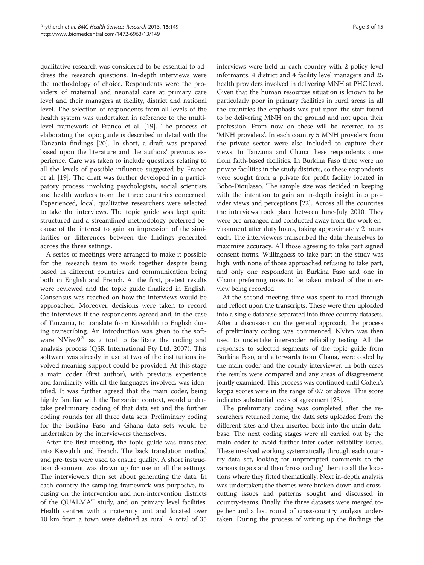qualitative research was considered to be essential to address the research questions. In-depth interviews were the methodology of choice. Respondents were the providers of maternal and neonatal care at primary care level and their managers at facility, district and national level. The selection of respondents from all levels of the health system was undertaken in reference to the multilevel framework of Franco et al. [[19](#page-14-0)]. The process of elaborating the topic guide is described in detail with the Tanzania findings [[20\]](#page-14-0). In short, a draft was prepared based upon the literature and the authors' previous experience. Care was taken to include questions relating to all the levels of possible influence suggested by Franco et al. [[19\]](#page-14-0). The draft was further developed in a participatory process involving psychologists, social scientists and health workers from the three countries concerned. Experienced, local, qualitative researchers were selected to take the interviews. The topic guide was kept quite structured and a streamlined methodology preferred because of the interest to gain an impression of the similarities or differences between the findings generated across the three settings.

A series of meetings were arranged to make it possible for the research team to work together despite being based in different countries and communication being both in English and French. At the first, pretest results were reviewed and the topic guide finalized in English. Consensus was reached on how the interviews would be approached. Moreover, decisions were taken to record the interviews if the respondents agreed and, in the case of Tanzania, to translate from Kiswahlili to English during transcribing. An introduction was given to the software NVivo $9^{\circledR}$  as a tool to facilitate the coding and analysis process (QSR International Pty Ltd, 2007). This software was already in use at two of the institutions involved meaning support could be provided. At this stage a main coder (first author), with previous experience and familiarity with all the languages involved, was identified. It was further agreed that the main coder, being highly familiar with the Tanzanian context, would undertake preliminary coding of that data set and the further coding rounds for all three data sets. Preliminary coding for the Burkina Faso and Ghana data sets would be undertaken by the interviewers themselves.

After the first meeting, the topic guide was translated into Kiswahili and French. The back translation method and pre-tests were used to ensure quality. A short instruction document was drawn up for use in all the settings. The interviewers then set about generating the data. In each country the sampling framework was purposive, focusing on the intervention and non-intervention districts of the QUALMAT study, and on primary level facilities. Health centres with a maternity unit and located over 10 km from a town were defined as rural. A total of 35 interviews were held in each country with 2 policy level informants, 4 district and 4 facility level managers and 25 health providers involved in delivering MNH at PHC level. Given that the human resources situation is known to be particularly poor in primary facilities in rural areas in all the countries the emphasis was put upon the staff found to be delivering MNH on the ground and not upon their profession. From now on these will be referred to as 'MNH providers'. In each country 5 MNH providers from the private sector were also included to capture their views. In Tanzania and Ghana these respondents came from faith-based facilities. In Burkina Faso there were no private facilities in the study districts, so these respondents were sought from a private for profit facility located in Bobo-Dioulasso. The sample size was decided in keeping with the intention to gain an in-depth insight into provider views and perceptions [\[22\]](#page-14-0). Across all the countries the interviews took place between June-July 2010. They were pre-arranged and conducted away from the work environment after duty hours, taking approximately 2 hours each. The interviewers transcribed the data themselves to maximize accuracy. All those agreeing to take part signed consent forms. Willingness to take part in the study was high, with none of those approached refusing to take part, and only one respondent in Burkina Faso and one in Ghana preferring notes to be taken instead of the interview being recorded.

At the second meeting time was spent to read through and reflect upon the transcripts. These were then uploaded into a single database separated into three country datasets. After a discussion on the general approach, the process of preliminary coding was commenced. NVivo was then used to undertake inter-coder reliability testing. All the responses to selected segments of the topic guide from Burkina Faso, and afterwards from Ghana, were coded by the main coder and the county interviewer. In both cases the results were compared and any areas of disagreement jointly examined. This process was continued until Cohen's kappa scores were in the range of 0.7 or above. This score indicates substantial levels of agreement [\[23\]](#page-14-0).

The preliminary coding was completed after the researchers returned home, the data sets uploaded from the different sites and then inserted back into the main database. The next coding stages were all carried out by the main coder to avoid further inter-coder reliability issues. These involved working systematically through each country data set, looking for unprompted comments to the various topics and then 'cross coding' them to all the locations where they fitted thematically. Next in-depth analysis was undertaken; the themes were broken down and crosscutting issues and patterns sought and discussed in country-teams. Finally, the three datasets were merged together and a last round of cross-country analysis undertaken. During the process of writing up the findings the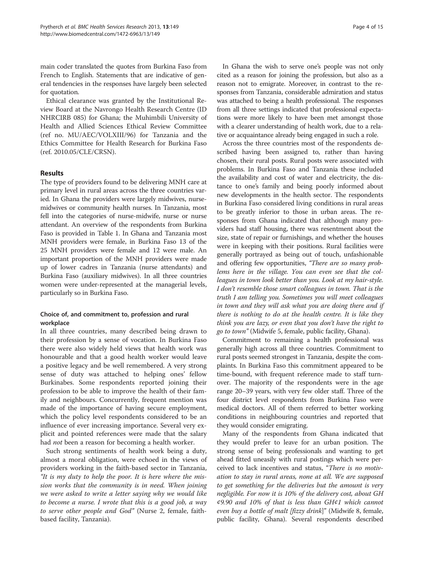main coder translated the quotes from Burkina Faso from French to English. Statements that are indicative of general tendencies in the responses have largely been selected for quotation.

Ethical clearance was granted by the Institutional Review Board at the Navrongo Health Research Centre (ID NHRCIRB 085) for Ghana; the Muhimbili University of Health and Allied Sciences Ethical Review Committee (ref no. MU/AEC/VOLXIII/96) for Tanzania and the Ethics Committee for Health Research for Burkina Faso (ref. 2010.05/CLE/CRSN).

#### Results

The type of providers found to be delivering MNH care at primary level in rural areas across the three countries varied. In Ghana the providers were largely midwives, nursemidwives or community health nurses. In Tanzania, most fell into the categories of nurse-midwife, nurse or nurse attendant. An overview of the respondents from Burkina Faso is provided in Table [1.](#page-4-0) In Ghana and Tanzania most MNH providers were female, in Burkina Faso 13 of the 25 MNH providers were female and 12 were male. An important proportion of the MNH providers were made up of lower cadres in Tanzania (nurse attendants) and Burkina Faso (auxiliary midwives). In all three countries women were under-represented at the managerial levels, particularly so in Burkina Faso.

### Choice of, and commitment to, profession and rural workplace

In all three countries, many described being drawn to their profession by a sense of vocation. In Burkina Faso there were also widely held views that health work was honourable and that a good health worker would leave a positive legacy and be well remembered. A very strong sense of duty was attached to helping ones' fellow Burkinabes. Some respondents reported joining their profession to be able to improve the health of their family and neighbours. Concurrently, frequent mention was made of the importance of having secure employment, which the policy level respondents considered to be an influence of ever increasing importance. Several very explicit and pointed references were made that the salary had *not* been a reason for becoming a health worker.

Such strong sentiments of health work being a duty, almost a moral obligation, were echoed in the views of providers working in the faith-based sector in Tanzania, "It is my duty to help the poor. It is here where the mission works that the community is in need. When joining we were asked to write a letter saying why we would like to become a nurse. I wrote that this is a good job, a way to serve other people and God" (Nurse 2, female, faithbased facility, Tanzania).

In Ghana the wish to serve one's people was not only cited as a reason for joining the profession, but also as a reason not to emigrate. Moreover, in contrast to the responses from Tanzania, considerable admiration and status was attached to being a health professional. The responses from all three settings indicated that professional expectations were more likely to have been met amongst those with a clearer understanding of health work, due to a relative or acquaintance already being engaged in such a role.

Across the three countries most of the respondents described having been assigned to, rather than having chosen, their rural posts. Rural posts were associated with problems. In Burkina Faso and Tanzania these included the availability and cost of water and electricity, the distance to one's family and being poorly informed about new developments in the health sector. The respondents in Burkina Faso considered living conditions in rural areas to be greatly inferior to those in urban areas. The responses from Ghana indicated that although many providers had staff housing, there was resentment about the size, state of repair or furnishings, and whether the houses were in keeping with their positions. Rural facilities were generally portrayed as being out of touch, unfashionable and offering few opportunities, "There are so many problems here in the village. You can even see that the colleagues in town look better than you. Look at my hair-style. I don't resemble those smart colleagues in town. That is the truth I am telling you. Sometimes you will meet colleagues in town and they will ask what you are doing there and if there is nothing to do at the health centre. It is like they think you are lazy, or even that you don't have the right to go to town" (Midwife 5, female, public facility, Ghana).

Commitment to remaining a health professional was generally high across all three countries. Commitment to rural posts seemed strongest in Tanzania, despite the complaints. In Burkina Faso this commitment appeared to be time-bound, with frequent reference made to staff turnover. The majority of the respondents were in the age range 20–39 years, with very few older staff. Three of the four district level respondents from Burkina Faso were medical doctors. All of them referred to better working conditions in neighbouring countries and reported that they would consider emigrating.

Many of the respondents from Ghana indicated that they would prefer to leave for an urban position. The strong sense of being professionals and wanting to get ahead fitted uneasily with rural postings which were perceived to lack incentives and status, "There is no motivation to stay in rural areas, none at all. We are supposed to get something for the deliveries but the amount is very negligible. For now it is 10% of the delivery cost, about GH ¢9.90 and 10% of that is less than GH¢1 which cannot even buy a bottle of malt [fizzy drink]" (Midwife 8, female, public facility, Ghana). Several respondents described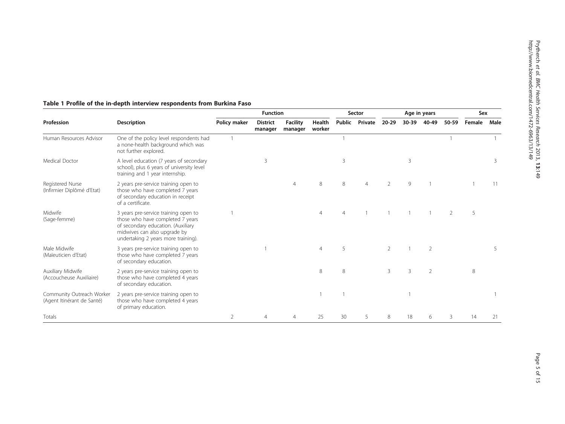| Profession                                              | <b>Description</b>                                                                                                                                                                    | <b>Function</b> |                            |                            |                  | Sector         |                | Age in years   |       |       |                | Sex    |      |
|---------------------------------------------------------|---------------------------------------------------------------------------------------------------------------------------------------------------------------------------------------|-----------------|----------------------------|----------------------------|------------------|----------------|----------------|----------------|-------|-------|----------------|--------|------|
|                                                         |                                                                                                                                                                                       | Policy maker    | <b>District</b><br>manager | <b>Facility</b><br>manager | Health<br>worker | Public         | Private        | 20-29          | 30-39 | 40-49 | 50-59          | Female | Male |
| Human Resources Advisor                                 | One of the policy level respondents had<br>a none-health background which was<br>not further explored.                                                                                |                 |                            |                            |                  |                |                |                |       |       |                |        |      |
| Medical Doctor                                          | A level education (7 years of secondary<br>school), plus 6 years of university level<br>training and 1 year internship.                                                               |                 | 3                          |                            |                  | $\overline{3}$ |                |                | 3     |       |                |        | 3    |
| Registered Nurse<br>(Infirmier Diplômé d'Etat)          | 2 years pre-service training open to<br>those who have completed 7 years<br>of secondary education in receipt<br>of a certificate.                                                    |                 |                            | 4                          | 8                | 8              | $\overline{4}$ | $\overline{2}$ | 9     |       |                |        | 11   |
| Midwife<br>(Sage-femme)                                 | 3 years pre-service training open to<br>those who have completed 7 years<br>of secondary education. (Auxiliary<br>midwives can also upgrade by<br>undertaking 2 years more training). |                 |                            |                            | $\overline{4}$   | 4              |                |                |       |       | $\overline{2}$ | 5      |      |
| Male Midwife<br>(Maïeuticien d'Etat)                    | 3 years pre-service training open to<br>those who have completed 7 years<br>of secondary education.                                                                                   |                 |                            |                            | 4                | 5              |                | 2              |       | 2     |                |        | 5.   |
| Auxiliary Midwife<br>(Accoucheuse Auxiliaire)           | 2 years pre-service training open to<br>those who have completed 4 years<br>of secondary education.                                                                                   |                 |                            |                            | 8                | 8              |                | 3              | 3     | 2     |                | 8      |      |
| Community Outreach Worker<br>(Agent Itinérant de Santé) | 2 years pre-service training open to<br>those who have completed 4 years<br>of primary education.                                                                                     |                 |                            |                            |                  |                |                |                |       |       |                |        |      |
| Totals                                                  |                                                                                                                                                                                       | 2               | 4                          |                            | 25               | 30             | 5              | 8              | 18    | 6     | 3              | 14     | 21   |

# <span id="page-4-0"></span>Table 1 Profile of the in-depth interview respondents from Burkina Faso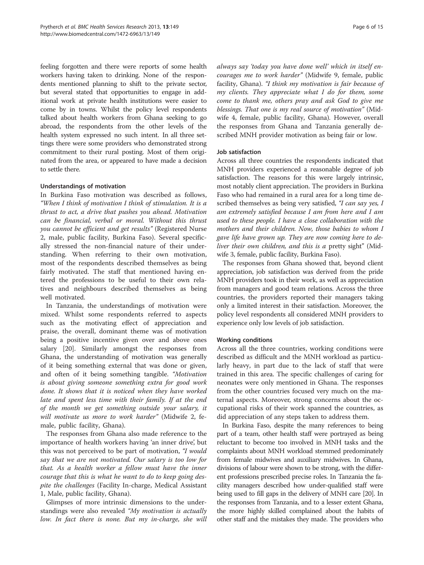feeling forgotten and there were reports of some health workers having taken to drinking. None of the respondents mentioned planning to shift to the private sector, but several stated that opportunities to engage in additional work at private health institutions were easier to come by in towns. Whilst the policy level respondents talked about health workers from Ghana seeking to go abroad, the respondents from the other levels of the health system expressed no such intent. In all three settings there were some providers who demonstrated strong commitment to their rural posting. Most of them originated from the area, or appeared to have made a decision to settle there.

#### Understandings of motivation

In Burkina Faso motivation was described as follows, "When I think of motivation I think of stimulation. It is a thrust to act, a drive that pushes you ahead. Motivation can be financial, verbal or moral. Without this thrust you cannot be efficient and get results" (Registered Nurse 2, male, public facility, Burkina Faso). Several specifically stressed the non-financial nature of their understanding. When referring to their own motivation, most of the respondents described themselves as being fairly motivated. The staff that mentioned having entered the professions to be useful to their own relatives and neighbours described themselves as being well motivated.

In Tanzania, the understandings of motivation were mixed. Whilst some respondents referred to aspects such as the motivating effect of appreciation and praise, the overall, dominant theme was of motivation being a positive incentive given over and above ones salary [\[20](#page-14-0)]. Similarly amongst the responses from Ghana, the understanding of motivation was generally of it being something external that was done or given, and often of it being something tangible. "Motivation is about giving someone something extra for good work done. It shows that it is noticed when they have worked late and spent less time with their family. If at the end of the month we get something outside your salary, it will motivate us more to work harder" (Midwife 2, female, public facility, Ghana).

The responses from Ghana also made reference to the importance of health workers having 'an inner drive', but this was not perceived to be part of motivation, "I would say that we are not motivated. Our salary is too low for that. As a health worker a fellow must have the inner courage that this is what he want to do to keep going despite the challenges (Facility In-charge, Medical Assistant 1, Male, public facility, Ghana).

Glimpses of more intrinsic dimensions to the understandings were also revealed "My motivation is actually low. In fact there is none. But my in-charge, she will always say 'today you have done well' which in itself encourages me to work harder" (Midwife 9, female, public facility, Ghana). "I think my motivation is fair because of my clients. They appreciate what I do for them, some come to thank me, others pray and ask God to give me blessings. That one is my real source of motivation" (Midwife 4, female, public facility, Ghana). However, overall the responses from Ghana and Tanzania generally described MNH provider motivation as being fair or low.

#### Job satisfaction

Across all three countries the respondents indicated that MNH providers experienced a reasonable degree of job satisfaction. The reasons for this were largely intrinsic, most notably client appreciation. The providers in Burkina Faso who had remained in a rural area for a long time described themselves as being very satisfied, "I can say yes, I am extremely satisfied because I am from here and I am used to these people. I have a close collaboration with the mothers and their children. Now, those babies to whom I gave life have grown up. They are now coming here to deliver their own children, and this is a pretty sight" (Midwife 3, female, public facility, Burkina Faso).

The responses from Ghana showed that, beyond client appreciation, job satisfaction was derived from the pride MNH providers took in their work, as well as appreciation from managers and good team relations. Across the three countries, the providers reported their managers taking only a limited interest in their satisfaction. Moreover, the policy level respondents all considered MNH providers to experience only low levels of job satisfaction.

#### Working conditions

Across all the three countries, working conditions were described as difficult and the MNH workload as particularly heavy, in part due to the lack of staff that were trained in this area. The specific challenges of caring for neonates were only mentioned in Ghana. The responses from the other countries focused very much on the maternal aspects. Moreover, strong concerns about the occupational risks of their work spanned the countries, as did appreciation of any steps taken to address them.

In Burkina Faso, despite the many references to being part of a team, other health staff were portrayed as being reluctant to become too involved in MNH tasks and the complaints about MNH workload stemmed predominately from female midwives and auxiliary midwives. In Ghana, divisions of labour were shown to be strong, with the different professions prescribed precise roles. In Tanzania the facility managers described how under-qualified staff were being used to fill gaps in the delivery of MNH care [[20](#page-14-0)]. In the responses from Tanzania, and to a lesser extent Ghana, the more highly skilled complained about the habits of other staff and the mistakes they made. The providers who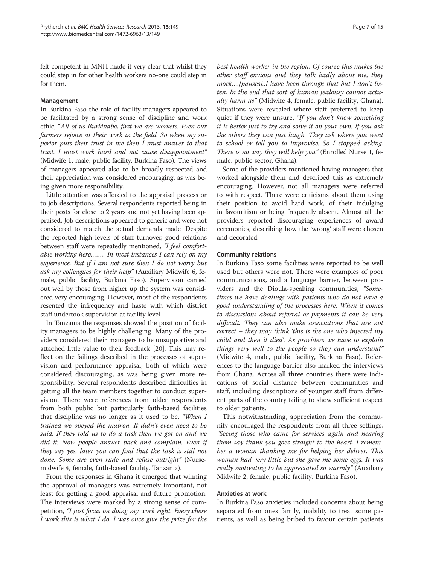felt competent in MNH made it very clear that whilst they could step in for other health workers no-one could step in for them.

#### Management

In Burkina Faso the role of facility managers appeared to be facilitated by a strong sense of discipline and work ethic, "All of us Burkinabe, first we are workers. Even our farmers rejoice at their work in the field. So when my superior puts their trust in me then I must answer to that trust. I must work hard and not cause disappointment" (Midwife 1, male, public facility, Burkina Faso). The views of managers appeared also to be broadly respected and their appreciation was considered encouraging, as was being given more responsibility.

Little attention was afforded to the appraisal process or to job descriptions. Several respondents reported being in their posts for close to 2 years and not yet having been appraised. Job descriptions appeared to generic and were not considered to match the actual demands made. Despite the reported high levels of staff turnover, good relations between staff were repeatedly mentioned, "I feel comfortable working here…….. In most instances I can rely on my experience. But if I am not sure then I do not worry but ask my colleagues for their help" (Auxiliary Midwife 6, female, public facility, Burkina Faso). Supervision carried out well by those from higher up the system was considered very encouraging. However, most of the respondents resented the infrequency and haste with which district staff undertook supervision at facility level.

In Tanzania the responses showed the position of facility managers to be highly challenging. Many of the providers considered their managers to be unsupportive and attached little value to their feedback [\[20\]](#page-14-0). This may reflect on the failings described in the processes of supervision and performance appraisal, both of which were considered discouraging, as was being given more responsibility. Several respondents described difficulties in getting all the team members together to conduct supervision. There were references from older respondents from both public but particularly faith-based facilities that discipline was no longer as it used to be, "When I trained we obeyed the matron. It didn't even need to be said. If they told us to do a task then we got on and we did it. Now people answer back and complain. Even if they say yes, later you can find that the task is still not done. Some are even rude and refuse outright" (Nursemidwife 4, female, faith-based facility, Tanzania).

From the responses in Ghana it emerged that winning the approval of managers was extremely important, not least for getting a good appraisal and future promotion. The interviews were marked by a strong sense of competition, "I just focus on doing my work right. Everywhere I work this is what I do. I was once give the prize for the best health worker in the region. Of course this makes the other staff envious and they talk badly about me, they mock….[pauses]..I have been through that but I don't listen. In the end that sort of human jealousy cannot actually harm us" (Midwife 4, female, public facility, Ghana). Situations were revealed where staff preferred to keep quiet if they were unsure, "If you don't know something it is better just to try and solve it on your own. If you ask the others they can just laugh. They ask where you went to school or tell you to improvise. So I stopped asking. There is no way they will help you" (Enrolled Nurse 1, female, public sector, Ghana).

Some of the providers mentioned having managers that worked alongside them and described this as extremely encouraging. However, not all managers were referred to with respect. There were criticisms about them using their position to avoid hard work, of their indulging in favouritism or being frequently absent. Almost all the providers reported discouraging experiences of award ceremonies, describing how the 'wrong' staff were chosen and decorated.

#### Community relations

In Burkina Faso some facilities were reported to be well used but others were not. There were examples of poor communications, and a language barrier, between providers and the Dioula-speaking communities, "Sometimes we have dealings with patients who do not have a good understanding of the processes here. When it comes to discussions about referral or payments it can be very difficult. They can also make associations that are not correct – they may think 'this is the one who injected my child and then it died'. As providers we have to explain things very well to the people so they can understand" (Midwife 4, male, public facility, Burkina Faso). References to the language barrier also marked the interviews from Ghana. Across all three countries there were indications of social distance between communities and staff, including descriptions of younger staff from different parts of the country failing to show sufficient respect to older patients.

This notwithstanding, appreciation from the community encouraged the respondents from all three settings, "Seeing those who came for services again and hearing them say thank you goes straight to the heart. I remember a woman thanking me for helping her deliver. This woman had very little but she gave me some eggs. It was really motivating to be appreciated so warmly" (Auxiliary Midwife 2, female, public facility, Burkina Faso).

#### Anxieties at work

In Burkina Faso anxieties included concerns about being separated from ones family, inability to treat some patients, as well as being bribed to favour certain patients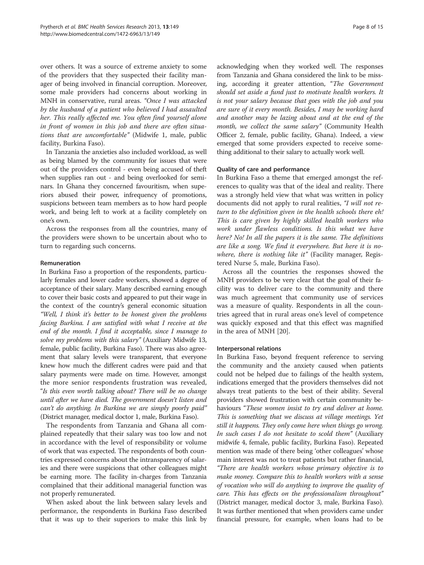over others. It was a source of extreme anxiety to some of the providers that they suspected their facility manager of being involved in financial corruption. Moreover, some male providers had concerns about working in MNH in conservative, rural areas. "Once I was attacked by the husband of a patient who believed I had assaulted her. This really affected me. You often find yourself alone in front of women in this job and there are often situations that are uncomfortable" (Midwife 1, male, public facility, Burkina Faso).

In Tanzania the anxieties also included workload, as well as being blamed by the community for issues that were out of the providers control - even being accused of theft when supplies ran out - and being overlooked for seminars. In Ghana they concerned favouritism, when superiors abused their power, infrequency of promotions, suspicions between team members as to how hard people work, and being left to work at a facility completely on one's own.

Across the responses from all the countries, many of the providers were shown to be uncertain about who to turn to regarding such concerns.

#### Remuneration

In Burkina Faso a proportion of the respondents, particularly females and lower cadre workers, showed a degree of acceptance of their salary. Many described earning enough to cover their basic costs and appeared to put their wage in the context of the country's general economic situation "Well, I think it's better to be honest given the problems facing Burkina. I am satisfied with what I receive at the end of the month. I find it acceptable, since I manage to solve my problems with this salary" (Auxiliary Midwife 13, female, public facility, Burkina Faso). There was also agreement that salary levels were transparent, that everyone knew how much the different cadres were paid and that salary payments were made on time. However, amongst the more senior respondents frustration was revealed, "Is this even worth talking about? There will be no change until after we have died. The government doesn't listen and can't do anything. In Burkina we are simply poorly paid" (District manager, medical doctor 1, male, Burkina Faso).

The respondents from Tanzania and Ghana all complained repeatedly that their salary was too low and not in accordance with the level of responsibility or volume of work that was expected. The respondents of both countries expressed concerns about the intransparency of salaries and there were suspicions that other colleagues might be earning more. The facility in-charges from Tanzania complained that their additional managerial function was not properly remunerated.

When asked about the link between salary levels and performance, the respondents in Burkina Faso described that it was up to their superiors to make this link by

acknowledging when they worked well. The responses from Tanzania and Ghana considered the link to be missing, according it greater attention, "The Government should set aside a fund just to motivate health workers. It is not your salary because that goes with the job and you are sure of it every month. Besides, I may be working hard and another may be lazing about and at the end of the month, we collect the same salary" (Community Health Officer 2, female, public facility, Ghana). Indeed, a view emerged that some providers expected to receive something additional to their salary to actually work well.

#### Quality of care and performance

In Burkina Faso a theme that emerged amongst the references to quality was that of the ideal and reality. There was a strongly held view that what was written in policy documents did not apply to rural realities, "I will not return to the definition given in the health schools there eh! This is care given by highly skilled health workers who work under flawless conditions. Is this what we have here? No! In all the papers it is the same. The definitions are like a song. We find it everywhere. But here it is nowhere, there is nothing like it" (Facility manager, Registered Nurse 5, male, Burkina Faso).

Across all the countries the responses showed the MNH providers to be very clear that the goal of their facility was to deliver care to the community and there was much agreement that community use of services was a measure of quality. Respondents in all the countries agreed that in rural areas one's level of competence was quickly exposed and that this effect was magnified in the area of MNH [\[20](#page-14-0)].

#### Interpersonal relations

In Burkina Faso, beyond frequent reference to serving the community and the anxiety caused when patients could not be helped due to failings of the health system, indications emerged that the providers themselves did not always treat patients to the best of their ability. Several providers showed frustration with certain community behaviours "These women insist to try and deliver at home. This is something that we discuss at village meetings. Yet still it happens. They only come here when things go wrong. In such cases I do not hesitate to scold them" (Auxiliary midwife 4, female, public facility, Burkina Faso). Repeated mention was made of there being 'other colleagues' whose main interest was not to treat patients but rather financial, "There are health workers whose primary objective is to make money. Compare this to health workers with a sense of vocation who will do anything to improve the quality of care. This has effects on the professionalism throughout" (District manager, medical doctor 3, male, Burkina Faso). It was further mentioned that when providers came under financial pressure, for example, when loans had to be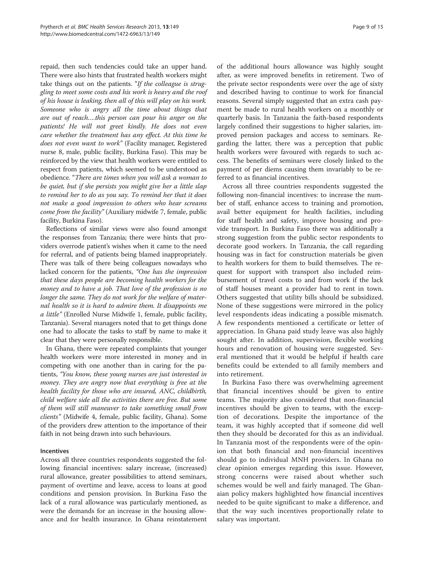repaid, then such tendencies could take an upper hand. There were also hints that frustrated health workers might take things out on the patients. "If the colleague is struggling to meet some costs and his work is heavy and the roof of his house is leaking, then all of this will play on his work. Someone who is angry all the time about things that are out of reach….this person can pour his anger on the patients! He will not greet kindly. He does not even care whether the treatment has any effect. At this time he does not even want to work" (Facility manager, Registered nurse 8, male, public facility, Burkina Faso). This may be reinforced by the view that health workers were entitled to respect from patients, which seemed to be understood as obedience. "There are times when you will ask a woman to be quiet, but if she persists you might give her a little slap to remind her to do as you say. To remind her that it does not make a good impression to others who hear screams come from the facility" (Auxiliary midwife 7, female, public facility, Burkina Faso).

Reflections of similar views were also found amongst the responses from Tanzania; there were hints that providers overrode patient's wishes when it came to the need for referral, and of patients being blamed inappropriately. There was talk of there being colleagues nowadays who lacked concern for the patients, "One has the impression that these days people are becoming health workers for the money and to have a job. That love of the profession is no longer the same. They do not work for the welfare of maternal health so it is hard to admire them. It disappoints me a little" (Enrolled Nurse Midwife 1, female, public facility, Tanzania). Several managers noted that to get things done one had to allocate the tasks to staff by name to make it clear that they were personally responsible.

In Ghana, there were repeated complaints that younger health workers were more interested in money and in competing with one another than in caring for the patients, "You know, these young nurses are just interested in money. They are angry now that everything is free at the health facility for those who are insured, ANC, childbirth, child welfare side all the activities there are free. But some of them will still maneuver to take something small from clients" (Midwife 4, female, public facility, Ghana). Some of the providers drew attention to the importance of their faith in not being drawn into such behaviours.

#### Incentives

Across all three countries respondents suggested the following financial incentives: salary increase, (increased) rural allowance, greater possibilities to attend seminars, payment of overtime and leave, access to loans at good conditions and pension provision. In Burkina Faso the lack of a rural allowance was particularly mentioned, as were the demands for an increase in the housing allowance and for health insurance. In Ghana reinstatement

of the additional hours allowance was highly sought after, as were improved benefits in retirement. Two of the private sector respondents were over the age of sixty and described having to continue to work for financial reasons. Several simply suggested that an extra cash payment be made to rural health workers on a monthly or quarterly basis. In Tanzania the faith-based respondents largely confined their suggestions to higher salaries, improved pension packages and access to seminars. Regarding the latter, there was a perception that public health workers were favoured with regards to such access. The benefits of seminars were closely linked to the payment of per diems causing them invariably to be referred to as financial incentives.

Across all three countries respondents suggested the following non-financial incentives: to increase the number of staff, enhance access to training and promotion, avail better equipment for health facilities, including for staff health and safety, improve housing and provide transport. In Burkina Faso there was additionally a strong suggestion from the public sector respondents to decorate good workers. In Tanzania, the call regarding housing was in fact for construction materials be given to health workers for them to build themselves. The request for support with transport also included reimbursement of travel costs to and from work if the lack of staff houses meant a provider had to rent in town. Others suggested that utility bills should be subsidized. None of these suggestions were mirrored in the policy level respondents ideas indicating a possible mismatch. A few respondents mentioned a certificate or letter of appreciation. In Ghana paid study leave was also highly sought after. In addition, supervision, flexible working hours and renovation of housing were suggested. Several mentioned that it would be helpful if health care benefits could be extended to all family members and into retirement.

In Burkina Faso there was overwhelming agreement that financial incentives should be given to entire teams. The majority also considered that non-financial incentives should be given to teams, with the exception of decorations. Despite the importance of the team, it was highly accepted that if someone did well then they should be decorated for this as an individual. In Tanzania most of the respondents were of the opinion that both financial and non-financial incentives should go to individual MNH providers. In Ghana no clear opinion emerges regarding this issue. However, strong concerns were raised about whether such schemes would be well and fairly managed. The Ghanaian policy makers highlighted how financial incentives needed to be quite significant to make a difference, and that the way such incentives proportionally relate to salary was important.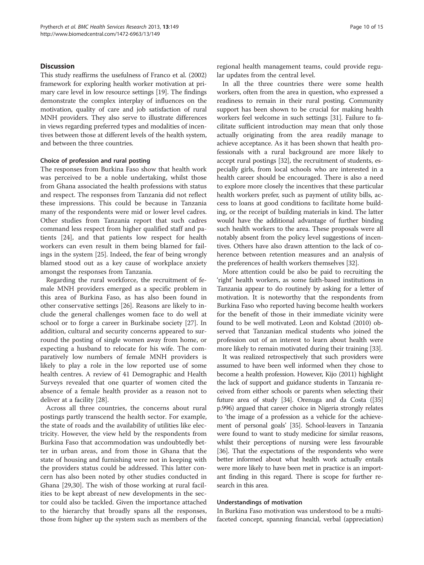#### Discussion

This study reaffirms the usefulness of Franco et al. [\(2002](#page-14-0)) framework for exploring health worker motivation at primary care level in low resource settings [\[19\]](#page-14-0). The findings demonstrate the complex interplay of influences on the motivation, quality of care and job satisfaction of rural MNH providers. They also serve to illustrate differences in views regarding preferred types and modalities of incentives between those at different levels of the health system, and between the three countries.

#### Choice of profession and rural posting

The responses from Burkina Faso show that health work was perceived to be a noble undertaking, whilst those from Ghana associated the health professions with status and respect. The responses from Tanzania did not reflect these impressions. This could be because in Tanzania many of the respondents were mid or lower level cadres. Other studies from Tanzania report that such cadres command less respect from higher qualified staff and patients [[24](#page-14-0)], and that patients low respect for health workers can even result in them being blamed for failings in the system [[25](#page-14-0)]. Indeed, the fear of being wrongly blamed stood out as a key cause of workplace anxiety amongst the responses from Tanzania.

Regarding the rural workforce, the recruitment of female MNH providers emerged as a specific problem in this area of Burkina Faso, as has also been found in other conservative settings [[26\]](#page-14-0). Reasons are likely to include the general challenges women face to do well at school or to forge a career in Burkinabe society [\[27\]](#page-14-0). In addition, cultural and security concerns appeared to surround the posting of single women away from home, or expecting a husband to relocate for his wife. The comparatively low numbers of female MNH providers is likely to play a role in the low reported use of some health centres. A review of 41 Demographic and Health Surveys revealed that one quarter of women cited the absence of a female health provider as a reason not to deliver at a facility [[28\]](#page-14-0).

Across all three countries, the concerns about rural postings partly transcend the health sector. For example, the state of roads and the availability of utilities like electricity. However, the view held by the respondents from Burkina Faso that accommodation was undoubtedly better in urban areas, and from those in Ghana that the state of housing and furnishing were not in keeping with the providers status could be addressed. This latter concern has also been noted by other studies conducted in Ghana [\[29,30\]](#page-14-0). The wish of those working at rural facilities to be kept abreast of new developments in the sector could also be tackled. Given the importance attached to the hierarchy that broadly spans all the responses, those from higher up the system such as members of the

regional health management teams, could provide regular updates from the central level.

In all the three countries there were some health workers, often from the area in question, who expressed a readiness to remain in their rural posting. Community support has been shown to be crucial for making health workers feel welcome in such settings [\[31\]](#page-14-0). Failure to facilitate sufficient introduction may mean that only those actually originating from the area readily manage to achieve acceptance. As it has been shown that health professionals with a rural background are more likely to accept rural postings [\[32\]](#page-14-0), the recruitment of students, especially girls, from local schools who are interested in a health career should be encouraged. There is also a need to explore more closely the incentives that these particular health workers prefer, such as payment of utility bills, access to loans at good conditions to facilitate home building, or the receipt of building materials in kind. The latter would have the additional advantage of further binding such health workers to the area. These proposals were all notably absent from the policy level suggestions of incentives. Others have also drawn attention to the lack of coherence between retention measures and an analysis of the preferences of health workers themselves [[32](#page-14-0)].

More attention could be also be paid to recruiting the 'right' health workers, as some faith-based institutions in Tanzania appear to do routinely by asking for a letter of motivation. It is noteworthy that the respondents from Burkina Faso who reported having become health workers for the benefit of those in their immediate vicinity were found to be well motivated. Leon and Kolstad [\(2010](#page-14-0)) observed that Tanzanian medical students who joined the profession out of an interest to learn about health were more likely to remain motivated during their training [[33](#page-14-0)].

It was realized retrospectively that such providers were assumed to have been well informed when they chose to become a health profession. However, Kijo [\(2011\)](#page-14-0) highlight the lack of support and guidance students in Tanzania received from either schools or parents when selecting their future area of study [\[34](#page-14-0)]. Orenuga and da Costa ([\[35](#page-14-0)] p.996) argued that career choice in Nigeria strongly relates to 'the image of a profession as a vehicle for the achievement of personal goals' [\[35\]](#page-14-0). School-leavers in Tanzania were found to want to study medicine for similar reasons, whilst their perceptions of nursing were less favourable [[36](#page-14-0)]. That the expectations of the respondents who were better informed about what health work actually entails were more likely to have been met in practice is an important finding in this regard. There is scope for further research in this area.

#### Understandings of motivation

In Burkina Faso motivation was understood to be a multifaceted concept, spanning financial, verbal (appreciation)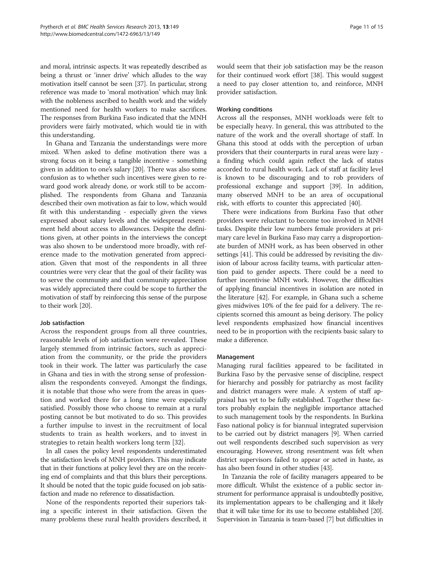and moral, intrinsic aspects. It was repeatedly described as being a thrust or 'inner drive' which alludes to the way motivation itself cannot be seen [\[37](#page-14-0)]. In particular, strong reference was made to 'moral motivation' which may link with the nobleness ascribed to health work and the widely mentioned need for health workers to make sacrifices. The responses from Burkina Faso indicated that the MNH providers were fairly motivated, which would tie in with this understanding.

In Ghana and Tanzania the understandings were more mixed. When asked to define motivation there was a strong focus on it being a tangible incentive - something given in addition to one's salary [\[20\]](#page-14-0). There was also some confusion as to whether such incentives were given to reward good work already done, or work still to be accomplished. The respondents from Ghana and Tanzania described their own motivation as fair to low, which would fit with this understanding - especially given the views expressed about salary levels and the widespread resentment held about access to allowances. Despite the definitions given, at other points in the interviews the concept was also shown to be understood more broadly, with reference made to the motivation generated from appreciation. Given that most of the respondents in all three countries were very clear that the goal of their facility was to serve the community and that community appreciation was widely appreciated there could be scope to further the motivation of staff by reinforcing this sense of the purpose to their work [[20](#page-14-0)].

#### Job satisfaction

Across the respondent groups from all three countries, reasonable levels of job satisfaction were revealed. These largely stemmed from intrinsic factors, such as appreciation from the community, or the pride the providers took in their work. The latter was particularly the case in Ghana and ties in with the strong sense of professionalism the respondents conveyed. Amongst the findings, it is notable that those who were from the areas in question and worked there for a long time were especially satisfied. Possibly those who choose to remain at a rural posting cannot be but motivated to do so. This provides a further impulse to invest in the recruitment of local students to train as health workers, and to invest in strategies to retain health workers long term [\[32\]](#page-14-0).

In all cases the policy level respondents underestimated the satisfaction levels of MNH providers. This may indicate that in their functions at policy level they are on the receiving end of complaints and that this blurs their perceptions. It should be noted that the topic guide focused on job satisfaction and made no reference to dissatisfaction.

None of the respondents reported their superiors taking a specific interest in their satisfaction. Given the many problems these rural health providers described, it

would seem that their job satisfaction may be the reason for their continued work effort [[38\]](#page-14-0). This would suggest a need to pay closer attention to, and reinforce, MNH provider satisfaction.

#### Working conditions

Across all the responses, MNH workloads were felt to be especially heavy. In general, this was attributed to the nature of the work and the overall shortage of staff. In Ghana this stood at odds with the perception of urban providers that their counterparts in rural areas were lazy a finding which could again reflect the lack of status accorded to rural health work. Lack of staff at facility level is known to be discouraging and to rob providers of professional exchange and support [\[39\]](#page-14-0). In addition, many observed MNH to be an area of occupational risk, with efforts to counter this appreciated [\[40\]](#page-14-0).

There were indications from Burkina Faso that other providers were reluctant to become too involved in MNH tasks. Despite their low numbers female providers at primary care level in Burkina Faso may carry a disproportionate burden of MNH work, as has been observed in other settings [[41](#page-14-0)]. This could be addressed by revisiting the division of labour across facility teams, with particular attention paid to gender aspects. There could be a need to further incentivise MNH work. However, the difficulties of applying financial incentives in isolation are noted in the literature [[42](#page-14-0)]. For example, in Ghana such a scheme gives midwives 10% of the fee paid for a delivery. The recipients scorned this amount as being derisory. The policy level respondents emphasized how financial incentives need to be in proportion with the recipients basic salary to make a difference.

#### Management

Managing rural facilities appeared to be facilitated in Burkina Faso by the pervasive sense of discipline, respect for hierarchy and possibly for patriarchy as most facility and district managers were male. A system of staff appraisal has yet to be fully established. Together these factors probably explain the negligible importance attached to such management tools by the respondents. In Burkina Faso national policy is for biannual integrated supervision to be carried out by district managers [[9](#page-14-0)]. When carried out well respondents described such supervision as very encouraging. However, strong resentment was felt when district supervisors failed to appear or acted in haste, as has also been found in other studies [[43\]](#page-14-0).

In Tanzania the role of facility managers appeared to be more difficult. Whilst the existence of a public sector instrument for performance appraisal is undoubtedly positive, its implementation appears to be challenging and it likely that it will take time for its use to become established [\[20](#page-14-0)]. Supervision in Tanzania is team-based [\[7](#page-13-0)] but difficulties in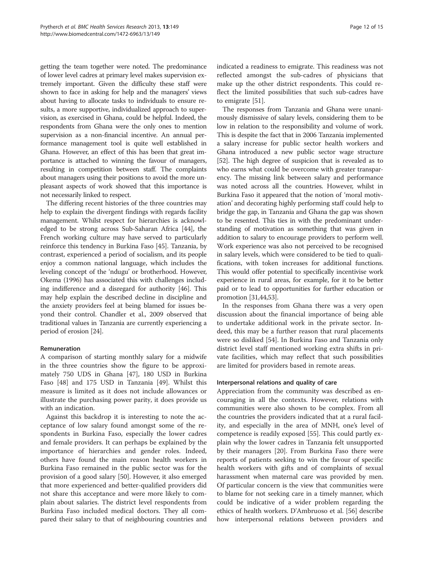getting the team together were noted. The predominance of lower level cadres at primary level makes supervision extremely important. Given the difficulty these staff were shown to face in asking for help and the managers' views about having to allocate tasks to individuals to ensure results, a more supportive, individualized approach to supervision, as exercised in Ghana, could be helpful. Indeed, the respondents from Ghana were the only ones to mention supervision as a non-financial incentive. An annual performance management tool is quite well established in Ghana. However, an effect of this has been that great importance is attached to winning the favour of managers, resulting in competition between staff. The complaints about managers using their positions to avoid the more unpleasant aspects of work showed that this importance is not necessarily linked to respect.

The differing recent histories of the three countries may help to explain the divergent findings with regards facility management. Whilst respect for hierarchies is acknowledged to be strong across Sub-Saharan Africa [\[44\]](#page-14-0), the French working culture may have served to particularly reinforce this tendency in Burkina Faso [\[45\]](#page-14-0). Tanzania, by contrast, experienced a period of socialism, and its people enjoy a common national language, which includes the leveling concept of the 'ndugu' or brotherhood. However, Okema [\(1996\)](#page-14-0) has associated this with challenges including indifference and a disregard for authority [[46](#page-14-0)]. This may help explain the described decline in discipline and the anxiety providers feel at being blamed for issues beyond their control. Chandler et al., 2009 observed that traditional values in Tanzania are currently experiencing a period of erosion [\[24](#page-14-0)].

#### Remuneration

A comparison of starting monthly salary for a midwife in the three countries show the figure to be approximately 750 UDS in Ghana [\[47\]](#page-14-0), 180 USD in Burkina Faso [\[48](#page-14-0)] and 175 USD in Tanzania [\[49\]](#page-14-0). Whilst this measure is limited as it does not include allowances or illustrate the purchasing power parity, it does provide us with an indication.

Against this backdrop it is interesting to note the acceptance of low salary found amongst some of the respondents in Burkina Faso, especially the lower cadres and female providers. It can perhaps be explained by the importance of hierarchies and gender roles. Indeed, others have found the main reason health workers in Burkina Faso remained in the public sector was for the provision of a good salary [[50\]](#page-14-0). However, it also emerged that more experienced and better-qualified providers did not share this acceptance and were more likely to complain about salaries. The district level respondents from Burkina Faso included medical doctors. They all compared their salary to that of neighbouring countries and indicated a readiness to emigrate. This readiness was not reflected amongst the sub-cadres of physicians that make up the other district respondents. This could reflect the limited possibilities that such sub-cadres have to emigrate [[51](#page-14-0)].

The responses from Tanzania and Ghana were unanimously dismissive of salary levels, considering them to be low in relation to the responsibility and volume of work. This is despite the fact that in 2006 Tanzania implemented a salary increase for public sector health workers and Ghana introduced a new public sector wage structure [[52](#page-14-0)]. The high degree of suspicion that is revealed as to who earns what could be overcome with greater transparency. The missing link between salary and performance was noted across all the countries. However, whilst in Burkina Faso it appeared that the notion of 'moral motivation' and decorating highly performing staff could help to bridge the gap, in Tanzania and Ghana the gap was shown to be resented. This ties in with the predominant understanding of motivation as something that was given in addition to salary to encourage providers to perform well. Work experience was also not perceived to be recognised in salary levels, which were considered to be tied to qualifications, with token increases for additional functions. This would offer potential to specifically incentivise work experience in rural areas, for example, for it to be better paid or to lead to opportunities for further education or promotion [\[31,44,53](#page-14-0)].

In the responses from Ghana there was a very open discussion about the financial importance of being able to undertake additional work in the private sector. Indeed, this may be a further reason that rural placements were so disliked [[54](#page-14-0)]. In Burkina Faso and Tanzania only district level staff mentioned working extra shifts in private facilities, which may reflect that such possibilities are limited for providers based in remote areas.

#### Interpersonal relations and quality of care

Appreciation from the community was described as encouraging in all the contexts. However, relations with communities were also shown to be complex. From all the countries the providers indicated that at a rural facility, and especially in the area of MNH, one's level of competence is readily exposed [[55\]](#page-14-0). This could partly explain why the lower cadres in Tanzania felt unsupported by their managers [[20](#page-14-0)]. From Burkina Faso there were reports of patients seeking to win the favour of specific health workers with gifts and of complaints of sexual harassment when maternal care was provided by men. Of particular concern is the view that communities were to blame for not seeking care in a timely manner, which could be indicative of a wider problem regarding the ethics of health workers. D'Ambruoso et al. [\[56\]](#page-14-0) describe how interpersonal relations between providers and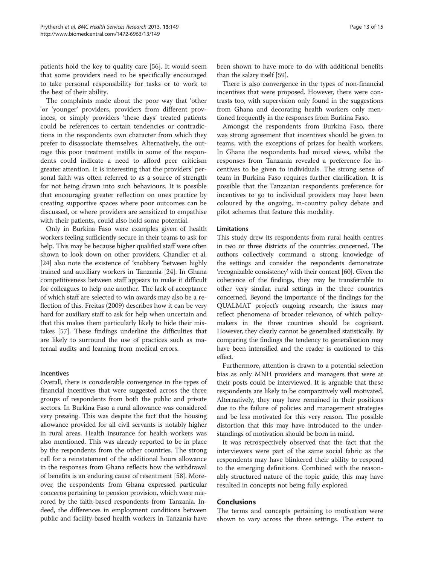patients hold the key to quality care [\[56\]](#page-14-0). It would seem that some providers need to be specifically encouraged to take personal responsibility for tasks or to work to the best of their ability.

The complaints made about the poor way that 'other 'or 'younger' providers, providers from different provinces, or simply providers 'these days' treated patients could be references to certain tendencies or contradictions in the respondents own character from which they prefer to disassociate themselves. Alternatively, the outrage this poor treatment instills in some of the respondents could indicate a need to afford peer criticism greater attention. It is interesting that the providers' personal faith was often referred to as a source of strength for not being drawn into such behaviours. It is possible that encouraging greater reflection on ones practice by creating supportive spaces where poor outcomes can be discussed, or where providers are sensitized to empathise with their patients, could also hold some potential.

Only in Burkina Faso were examples given of health workers feeling sufficiently secure in their teams to ask for help. This may be because higher qualified staff were often shown to look down on other providers. Chandler et al. [[24](#page-14-0)] also note the existence of 'snobbery 'between highly trained and auxiliary workers in Tanzania [[24](#page-14-0)]. In Ghana competitiveness between staff appears to make it difficult for colleagues to help one another. The lack of acceptance of which staff are selected to win awards may also be a reflection of this. Freitas ([2009](#page-14-0)) describes how it can be very hard for auxiliary staff to ask for help when uncertain and that this makes them particularly likely to hide their mistakes [[57](#page-14-0)]. These findings underline the difficulties that are likely to surround the use of practices such as maternal audits and learning from medical errors.

#### Incentives

Overall, there is considerable convergence in the types of financial incentives that were suggested across the three groups of respondents from both the public and private sectors. In Burkina Faso a rural allowance was considered very pressing. This was despite the fact that the housing allowance provided for all civil servants is notably higher in rural areas. Health insurance for health workers was also mentioned. This was already reported to be in place by the respondents from the other countries. The strong call for a reinstatement of the additional hours allowance in the responses from Ghana reflects how the withdrawal of benefits is an enduring cause of resentment [[58](#page-14-0)]. Moreover, the respondents from Ghana expressed particular concerns pertaining to pension provision, which were mirrored by the faith-based respondents from Tanzania. Indeed, the differences in employment conditions between public and facility-based health workers in Tanzania have

been shown to have more to do with additional benefits than the salary itself [\[59\]](#page-14-0).

There is also convergence in the types of non-financial incentives that were proposed. However, there were contrasts too, with supervision only found in the suggestions from Ghana and decorating health workers only mentioned frequently in the responses from Burkina Faso.

Amongst the respondents from Burkina Faso, there was strong agreement that incentives should be given to teams, with the exceptions of prizes for health workers. In Ghana the respondents had mixed views, whilst the responses from Tanzania revealed a preference for incentives to be given to individuals. The strong sense of team in Burkina Faso requires further clarification. It is possible that the Tanzanian respondents preference for incentives to go to individual providers may have been coloured by the ongoing, in-country policy debate and pilot schemes that feature this modality.

#### **Limitations**

This study drew its respondents from rural health centres in two or three districts of the countries concerned. The authors collectively command a strong knowledge of the settings and consider the respondents demonstrate 'recognizable consistency' with their context [\[60](#page-14-0)]. Given the coherence of the findings, they may be transferrable to other very similar, rural settings in the three countries concerned. Beyond the importance of the findings for the QUALMAT project's ongoing research, the issues may reflect phenomena of broader relevance, of which policymakers in the three countries should be cognisant. However, they clearly cannot be generalised statistically. By comparing the findings the tendency to generalisation may have been intensified and the reader is cautioned to this effect.

Furthermore, attention is drawn to a potential selection bias as only MNH providers and managers that were at their posts could be interviewed. It is arguable that these respondents are likely to be comparatively well motivated. Alternatively, they may have remained in their positions due to the failure of policies and management strategies and be less motivated for this very reason. The possible distortion that this may have introduced to the understandings of motivation should be born in mind.

It was retrospectively observed that the fact that the interviewers were part of the same social fabric as the respondents may have blinkered their ability to respond to the emerging definitions. Combined with the reasonably structured nature of the topic guide, this may have resulted in concepts not being fully explored.

#### Conclusions

The terms and concepts pertaining to motivation were shown to vary across the three settings. The extent to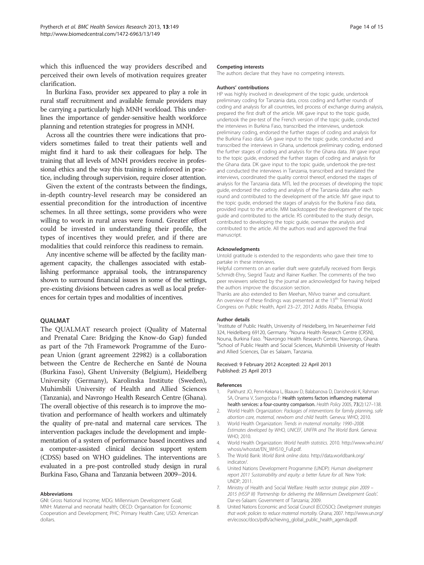<span id="page-13-0"></span>which this influenced the way providers described and perceived their own levels of motivation requires greater clarification.

In Burkina Faso, provider sex appeared to play a role in rural staff recruitment and available female providers may be carrying a particularly high MNH workload. This underlines the importance of gender-sensitive health workforce planning and retention strategies for progress in MNH.

Across all the countries there were indications that providers sometimes failed to treat their patients well and might find it hard to ask their colleagues for help. The training that all levels of MNH providers receive in professional ethics and the way this training is reinforced in practice, including through supervision, require closer attention.

Given the extent of the contrasts between the findings, in-depth country-level research may be considered an essential precondition for the introduction of incentive schemes. In all three settings, some providers who were willing to work in rural areas were found. Greater effort could be invested in understanding their profile, the types of incentives they would prefer, and if there are modalities that could reinforce this readiness to remain.

Any incentive scheme will be affected by the facility management capacity, the challenges associated with establishing performance appraisal tools, the intransparency shown to surround financial issues in some of the settings, pre-existing divisions between cadres as well as local preferences for certain types and modalities of incentives.

#### **OUALMAT**

The QUALMAT research project (Quality of Maternal and Prenatal Care: Bridging the Know-do Gap) funded as part of the 7th Framework Programme of the European Union (grant agreement 22982) is a collaboration between the Centre de Recherche en Santé de Nouna (Burkina Faso), Ghent University (Belgium), Heidelberg University (Germany), Karolinska Institute (Sweden), Muhimbili University of Health and Allied Sciences (Tanzania), and Navrongo Health Research Centre (Ghana). The overall objective of this research is to improve the motivation and performance of health workers and ultimately the quality of pre-natal and maternal care services. The intervention packages include the development and implementation of a system of performance based incentives and a computer-assisted clinical decision support system (CDSS) based on WHO guidelines. The interventions are evaluated in a pre-post controlled study design in rural Burkina Faso, Ghana and Tanzania between 2009–2014.

#### Abbreviations

GNI: Gross National Income; MDG: Millennium Development Goal; MNH: Maternal and neonatal health; OECD: Organisation for Economic Cooperation and Development; PHC: Primary Health Care; USD: American dollars.

#### Competing interests

The authors declare that they have no competing interests.

#### Authors' contributions

HP was highly involved in development of the topic guide, undertook preliminary coding for Tanzania data, cross coding and further rounds of coding and analysis for all countries, led process of exchange during analysis, prepared the first draft of the article. MK gave input to the topic guide, undertook the pre-test of the French version of the topic guide, conducted the interviews in Burkina Faso, transcribed the interviews, undertook preliminary coding, endorsed the further stages of coding and analysis for the Burkina Faso data. GA gave input to the topic guide, conducted and transcribed the interviews in Ghana, undertook preliminary coding, endorsed the further stages of coding and analysis for the Ghana data. JW gave input to the topic guide, endorsed the further stages of coding and analysis for the Ghana data. DK gave input to the topic guide, undertook the pre-test and conducted the interviews in Tanzania, transcribed and translated the interviews, coordinated the quality control thereof, endorsed the stages of analysis for the Tanzania data. MTL led the processes of developing the topic guide, endorsed the coding and analysis of the Tanzania data after each round and contributed to the development of the article. MY gave input to the topic guide, endorsed the stages of analysis for the Burkina Faso data, provided input to the article. MM backstopped the development of the topic guide and contributed to the article. RS contributed to the study design, contributed to developing the topic guide, oversaw the analysis and contributed to the article. All the authors read and approved the final manuscript.

#### Acknowledgments

Untold gratitude is extended to the respondents who gave their time to partake in these interviews.

Helpful comments on an earlier draft were gratefully received from Bergis Schmidt-Ehry, Siegrid Tautz and Rainer Kuelker. The comments of the two peer reviewers selected by the journal are acknowledged for having helped the authors improve the discussion section.

Thanks are also extended to Ben Meehan, NVivo trainer and consultant. An overview of these findings was presented at the 13<sup>th</sup> Triennial World Congress on Public Health, April 23–27, 2012 Addis Ababa, Ethiopia.

#### Author details

<sup>1</sup>Institute of Public Health, University of Heidelberg, Im Neuenheimer Feld 324, Heidelberg 69120, Germany. <sup>2</sup>Nouna Health Research Centre (CRSN) Nouna, Burkina Faso. <sup>3</sup>Navrongo Health Research Centre, Navrongo, Ghana.<br><sup>4</sup>School of Bublic Hoalth and Social Sciences, Muhimbili University of Hoalth <sup>4</sup>School of Public Health and Social Sciences, Muhimbili University of Health and Allied Sciences, Dar es Salaam, Tanzania.

#### Received: 9 February 2012 Accepted: 22 April 2013 Published: 25 April 2013

#### References

- 1. Parkhurst JO, Penn-Kekana L, Blaauw D, Balabanova D, Danishevski K, Rahman SA, Onama V, Ssengooba F: Health systems factors influencing maternal health services: a four-country comparison. Health Policy 2005, 73(2):127-138.
- 2. World Health Organization: Packages of interventions for family planning, safe abortion care, maternal, newborn and child health. Geneva: WHO; 2010.
- 3. World Health Organization: Trends in maternal mortality: 1990–2008. Estimates developed by WHO, UNICEF, UNFPA and The World Bank. Geneva: WHO; 2010.
- 4. World Health Organization: World health statistics. 2010. [http://www.who.int/](http://www.who.int/whosis/whostat/EN_WHS10_Full.pdf) [whosis/whostat/EN\\_WHS10\\_Full.pdf.](http://www.who.int/whosis/whostat/EN_WHS10_Full.pdf)
- 5. The World Bank: World Bank online data. [http://data.worldbank.org/](http://data.worldbank.org/indicator/) [indicator/](http://data.worldbank.org/indicator/).
- United Nations Development Programme (UNDP): Human development report 2011 Sustainability and equity: a better future for all. New York: UNDP; 2011.
- 7. Ministry of Health and Social Welfare: Health sector strategic plan 2009 -2015 (HSSP III) 'Partnership for delivering the Millennium Development Goals'. Dar-es-Salaam: Government of Tanzania; 2009.
- 8. United Nations Economic and Social Council (ECOSOC): Development strategies that work: policies to reduce maternal mortality. Ghana; 2007. [http://www.un.org/](http://www.un.org/en/ecosoc/docs/pdfs/achieving_global_public_health_agenda.pdf) [en/ecosoc/docs/pdfs/achieving\\_global\\_public\\_health\\_agenda.pdf.](http://www.un.org/en/ecosoc/docs/pdfs/achieving_global_public_health_agenda.pdf)